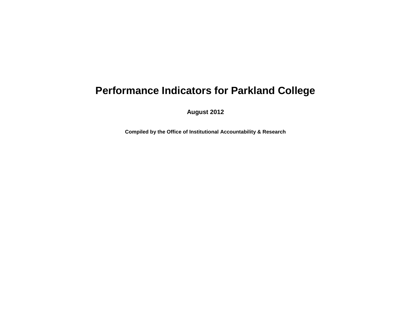## **Performance Indicators for Parkland College**

**August 2012**

**Compiled by the Office of Institutional Accountability & Research**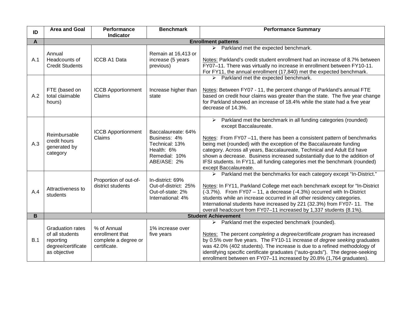| ID             | Area and Goal                                                                                 | Performance<br>Indicator                                               | <b>Benchmark</b>                                                                                   | <b>Performance Summary</b>                                                                                                                                                                                                                                                                                                                                                                                                                                                                                                      |
|----------------|-----------------------------------------------------------------------------------------------|------------------------------------------------------------------------|----------------------------------------------------------------------------------------------------|---------------------------------------------------------------------------------------------------------------------------------------------------------------------------------------------------------------------------------------------------------------------------------------------------------------------------------------------------------------------------------------------------------------------------------------------------------------------------------------------------------------------------------|
| A              |                                                                                               |                                                                        |                                                                                                    | <b>Enrollment patterns</b>                                                                                                                                                                                                                                                                                                                                                                                                                                                                                                      |
| A.1            | Annual<br>Headcounts of<br><b>Credit Students</b>                                             | <b>ICCB A1 Data</b>                                                    | Remain at 16,413 or<br>increase (5 years<br>previous)                                              | $\triangleright$ Parkland met the expected benchmark.<br>Notes: Parkland's credit student enrollment had an increase of 8.7% between<br>FY07-11. There was virtually no increase in enrollment between FY10-11.<br>For FY11, the annual enrollment (17,840) met the expected benchmark.                                                                                                                                                                                                                                         |
| A.2            | FTE (based on<br>total claimable<br>hours)                                                    | <b>ICCB Apportionment</b><br>Claims                                    | Increase higher than<br>state                                                                      | $\triangleright$ Parkland met the expected benchmark.<br>Notes: Between FY07 - 11, the percent change of Parkland's annual FTE<br>based on credit hour claims was greater than the state. The five year change<br>for Parkland showed an increase of 18.4% while the state had a five year<br>decrease of 14.3%.                                                                                                                                                                                                                |
| A.3            | Reimbursable<br>credit hours<br>generated by<br>category                                      | <b>ICCB Apportionment</b><br>Claims                                    | Baccalaureate: 64%<br>Business: 4%<br>Technical: 13%<br>Health: 6%<br>Remedial: 10%<br>ABE/ASE: 2% | Parkland met the benchmark in all funding categories (rounded)<br>$\blacktriangleright$<br>except Baccalaureate.<br>Notes: From FY07-11, there has been a consistent pattern of benchmarks<br>being met (rounded) with the exception of the Baccalaureate funding<br>category. Across all years, Baccalaureate, Technical and Adult Ed have<br>shown a decrease. Business increased substantially due to the addition of<br>IFSI students. In FY11, all funding categories met the benchmark (rounded)<br>except Baccalaureate. |
| A.4            | Attractiveness to<br>students                                                                 | Proportion of out-of-<br>district students                             | In-district: 69%<br>Out-of-district: 25%<br>Out-of-state: 2%<br>International: 4%                  | > Parkland met the benchmarks for each category except "In-District."<br>Notes: In FY11, Parkland College met each benchmark except for "In-District<br>(-3.7%). From FY07 - 11, a decrease (-4.3%) occurred with In-District<br>students while an increase occurred in all other residency categories.<br>International students have increased by 221 (32.3%) from FY07-11. The<br>overall headcount from FY07-11 increased by 1,337 students (8.1%).                                                                         |
| $\overline{B}$ | <b>Student Achievement</b>                                                                    |                                                                        |                                                                                                    |                                                                                                                                                                                                                                                                                                                                                                                                                                                                                                                                 |
| B.1            | <b>Graduation rates</b><br>of all students<br>reporting<br>degree/certificate<br>as objective | % of Annual<br>enrollment that<br>complete a degree or<br>certificate. | 1% increase over<br>five years                                                                     | Parkland met the expected benchmark (rounded).<br>➤<br>Notes: The percent completing a degree/certificate program has increased<br>by 0.5% over five years. The FY10-11 increase of <i>degree seeking</i> graduates<br>was 42.0% (402 students). The increase is due to a refined methodology of<br>identifying specific certificate graduates ("auto-grads"). The degree-seeking<br>enrollment between en FY07-11 increased by 20.8% (1,764 graduates).                                                                        |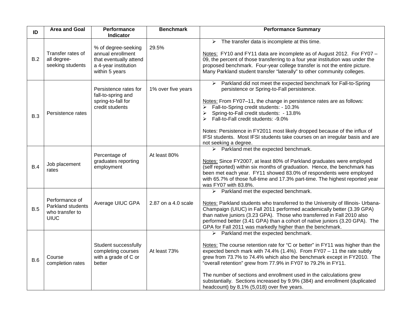| ID         | <b>Area and Goal</b>                                                  | Performance<br><b>Indicator</b>                                                                              | <b>Benchmark</b>    | <b>Performance Summary</b>                                                                                                                                                                                                                                                                                                                                                                                                                                                                                                                                          |
|------------|-----------------------------------------------------------------------|--------------------------------------------------------------------------------------------------------------|---------------------|---------------------------------------------------------------------------------------------------------------------------------------------------------------------------------------------------------------------------------------------------------------------------------------------------------------------------------------------------------------------------------------------------------------------------------------------------------------------------------------------------------------------------------------------------------------------|
| B.2        | Transfer rates of<br>all degree-<br>seeking students                  | % of degree-seeking<br>annual enrollment<br>that eventually attend<br>a 4-year institution<br>within 5 years | 29.5%               | The transfer data is incomplete at this time.<br>➤<br>Notes: FY10 and FY11 data are incomplete as of August 2012. For FY07 -<br>09, the percent of those transferring to a four year institution was under the<br>proposed benchmark. Four-year college transfer is not the entire picture.<br>Many Parkland student transfer "laterally" to other community colleges.                                                                                                                                                                                              |
| <b>B.3</b> | Persistence rates                                                     | Persistence rates for<br>fall-to-spring and<br>spring-to-fall for<br>credit students                         | 1% over five years  | Parkland did not meet the expected benchmark for Fall-to-Spring<br>$\blacktriangleright$<br>persistence or Spring-to-Fall persistence.<br>Notes: From FY07-11, the change in persistence rates are as follows:<br>Fall-to-Spring credit students: - 10.3%<br>Spring-to-Fall credit students: - 13.8%<br>Fall-to-Fall credit students: -9.0%<br>↘<br>Notes: Persistence in FY2011 most likely dropped because of the influx of<br>IFSI students. Most IFSI students take courses on an irregular basis and are<br>not seeking a degree.                              |
| B.4        | Job placement<br>rates                                                | Percentage of<br>graduates reporting<br>employment                                                           | At least 80%        | Parkland met the expected benchmark.<br>➤<br>Notes: Since FY2007, at least 80% of Parkland graduates were employed<br>(self reported) within six months of graduation. Hence, the benchmark has<br>been met each year. FY11 showed 83.0% of respondents were employed<br>with 65.7% of those full-time and 17.3% part-time. The highest reported year<br>was FY07 with 83.8%.                                                                                                                                                                                       |
| B.5        | Performance of<br>Parkland students<br>who transfer to<br><b>UIUC</b> | Average UIUC GPA                                                                                             | 2.87 on a 4.0 scale | Parkland met the expected benchmark.<br>➤<br>Notes: Parkland students who transferred to the University of Illinois- Urbana-<br>Champaign (UIUC) in Fall 2011 performed academically better (3.39 GPA)<br>than native juniors (3.23 GPA). Those who transferred in Fall 2010 also<br>performed better (3.41 GPA) than a cohort of native juniors (3.20 GPA). The<br>GPA for Fall 2011 was markedly higher than the benchmark.                                                                                                                                       |
| B.6        | Course<br>completion rates                                            | Student successfully<br>completing courses<br>with a grade of C or<br>better                                 | At least 73%        | $\triangleright$ Parkland met the expected benchmark.<br>Notes: The course retention rate for "C or better" in FY11 was higher than the<br>expected bench mark with $74.4\%$ (1.4%). From FY07 - 11 the rate subtly<br>grew from 73.7% to 74.4% which also the benchmark except in FY2010. The<br>"overall retention" grew from 77.9% in FY07 to 79.2% in FY11.<br>The number of sections and enrollment used in the calculations grew<br>substantially. Sections increased by 9.9% (384) and enrollment (duplicated<br>headcount) by 8.1% (5,018) over five years. |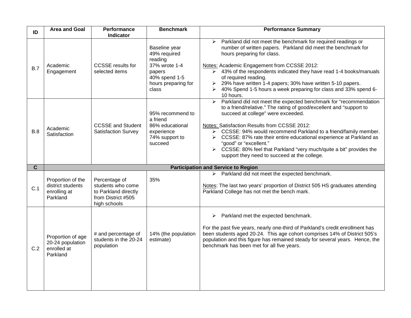| ID             | <b>Area and Goal</b>                                               | Performance<br>Indicator                                                                         | <b>Benchmark</b>                                                                                                     | <b>Performance Summary</b>                                                                                                                                                                                                                                                                                                                                                                                                                                                                                                                            |
|----------------|--------------------------------------------------------------------|--------------------------------------------------------------------------------------------------|----------------------------------------------------------------------------------------------------------------------|-------------------------------------------------------------------------------------------------------------------------------------------------------------------------------------------------------------------------------------------------------------------------------------------------------------------------------------------------------------------------------------------------------------------------------------------------------------------------------------------------------------------------------------------------------|
| B.7            | Academic<br>Engagement                                             | <b>CCSSE</b> results for<br>selected items                                                       | Baseline year<br>49% required<br>reading<br>37% wrote 1-4<br>papers<br>40% spend 1-5<br>hours preparing for<br>class | Parkland did not meet the benchmark for required readings or<br>➤<br>number of written papers. Parkland did meet the benchmark for<br>hours preparing for class.<br>Notes: Academic Engagement from CCSSE 2012:<br>$\triangleright$ 43% of the respondents indicated they have read 1-4 books/manuals<br>of required reading.<br>29% have written 1-4 papers; 30% have written 5-10 papers.<br>$\blacktriangleright$<br>40% Spend 1-5 hours a week preparing for class and 33% spend 6-<br>➤<br>10 hours.                                             |
| B.8            | Academic<br>Satisfaction                                           | <b>CCSSE and Student</b><br><b>Satisfaction Survey</b>                                           | 95% recommend to<br>a friend<br>86% educational<br>experience<br>74% support to<br>succeed                           | Parkland did not meet the expected benchmark for "recommendation<br>$\blacktriangleright$<br>to a friend/relative." The rating of good/excellent and "support to<br>succeed at college" were exceeded.<br>Notes: Satisfaction Results from CCSSE 2012:<br>> CCSSE: 94% would recommend Parkland to a friend/family member.<br>CCSSE: 87% rate their entire educational experience at Parkland as<br>➤<br>"good" or "excellent."<br>CCSSE: 80% feel that Parkland "very much/quite a bit" provides the<br>support they need to succeed at the college. |
| $\overline{c}$ |                                                                    |                                                                                                  |                                                                                                                      | <b>Participation and Service to Region</b>                                                                                                                                                                                                                                                                                                                                                                                                                                                                                                            |
| C.1            | Proportion of the<br>district students<br>enrolling at<br>Parkland | Percentage of<br>students who come<br>to Parkland directly<br>from District #505<br>high schools | 35%                                                                                                                  | Parkland did not meet the expected benchmark.<br>➤<br>Notes: The last two years' proportion of District 505 HS graduates attending<br>Parkland College has not met the bench mark.                                                                                                                                                                                                                                                                                                                                                                    |
| C.2            | Proportion of age<br>20-24 population<br>enrolled at<br>Parkland   | # and percentage of<br>students in the 20-24<br>population                                       | 14% (the population<br>estimate)                                                                                     | Parkland met the expected benchmark.<br>➤<br>For the past five years, nearly one-third of Parkland's credit enrollment has<br>been students aged 20-24. This age cohort comprises 14% of District 505's<br>population and this figure has remained steady for several years. Hence, the<br>benchmark has been met for all five years.                                                                                                                                                                                                                 |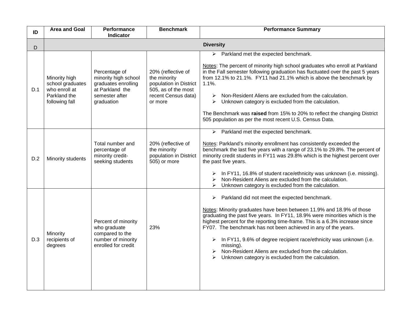| ID  | <b>Area and Goal</b>                                                                 | Performance<br><b>Indicator</b>                                                                                 | <b>Benchmark</b>                                                                                                      | <b>Performance Summary</b>                                                                                                                                                                                                                                                                                                                                                                                                                                                                                                                                                  |
|-----|--------------------------------------------------------------------------------------|-----------------------------------------------------------------------------------------------------------------|-----------------------------------------------------------------------------------------------------------------------|-----------------------------------------------------------------------------------------------------------------------------------------------------------------------------------------------------------------------------------------------------------------------------------------------------------------------------------------------------------------------------------------------------------------------------------------------------------------------------------------------------------------------------------------------------------------------------|
| D   | <b>Diversity</b>                                                                     |                                                                                                                 |                                                                                                                       |                                                                                                                                                                                                                                                                                                                                                                                                                                                                                                                                                                             |
| D.1 | Minority high<br>school graduates<br>who enroll at<br>Parkland the<br>following fall | Percentage of<br>minority high school<br>graduates enrolling<br>at Parkland the<br>semester after<br>graduation | 20% (reflective of<br>the minority<br>population in District<br>505, as of the most<br>recent Census data)<br>or more | $\triangleright$ Parkland met the expected benchmark.<br>Notes: The percent of minority high school graduates who enroll at Parkland<br>in the Fall semester following graduation has fluctuated over the past 5 years<br>from 12.1% to 21.1%. FY11 had 21.1% which is above the benchmark by<br>$1.1%$ .<br>Non-Resident Aliens are excluded from the calculation.<br>➤<br>Unknown category is excluded from the calculation.<br>➤<br>The Benchmark was raised from 15% to 20% to reflect the changing District<br>505 population as per the most recent U.S. Census Data. |
| D.2 | Minority students                                                                    | Total number and<br>percentage of<br>minority credit-<br>seeking students                                       | 20% (reflective of<br>the minority<br>population in District<br>505) or more                                          | $\triangleright$ Parkland met the expected benchmark.<br>Notes: Parkland's minority enrollment has consistently exceeded the<br>benchmark the last five years with a range of 23.1% to 29.8%. The percent of<br>minority credit students in FY11 was 29.8% which is the highest percent over<br>the past five years.<br>In FY11, 16.8% of student race/ethnicity was unknown (i.e. missing).<br>➤<br>Non-Resident Aliens are excluded from the calculation.<br>↘<br>Unknown category is excluded from the calculation.<br>➤                                                 |
| D.3 | Minority<br>recipients of<br>degrees                                                 | Percent of minority<br>who graduate<br>compared to the<br>number of minority<br>enrolled for credit             | 23%                                                                                                                   | Parkland did not meet the expected benchmark.<br>➤<br>Notes: Minority graduates have been between 11.9% and 18.9% of those<br>graduating the past five years. In FY11, 18.9% were minorities which is the<br>highest percent for the reporting time-frame. This is a 6.3% increase since<br>FY07. The benchmark has not been achieved in any of the years.<br>In FY11, 9.6% of degree recipient race/ethnicity was unknown (i.e.<br>➤<br>missing).<br>Non-Resident Aliens are excluded from the calculation.<br>➤<br>Unknown category is excluded from the calculation.     |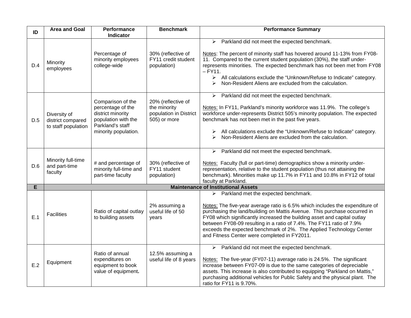| ID  | <b>Area and Goal</b>                                     | <b>Performance</b><br>Indicator                                                                                                | <b>Benchmark</b>                                                             | <b>Performance Summary</b>                                                                                                                                                                                                                                                                                                                                                                                                                                                                        |  |
|-----|----------------------------------------------------------|--------------------------------------------------------------------------------------------------------------------------------|------------------------------------------------------------------------------|---------------------------------------------------------------------------------------------------------------------------------------------------------------------------------------------------------------------------------------------------------------------------------------------------------------------------------------------------------------------------------------------------------------------------------------------------------------------------------------------------|--|
| D.4 | Minority<br>employees                                    | Percentage of<br>minority employees<br>college-wide                                                                            | 30% (reflective of<br>FY11 credit student<br>population)                     | Parkland did not meet the expected benchmark.<br>$\blacktriangleright$<br>Notes: The percent of minority staff has hovered around 11-13% from FY08-<br>11. Compared to the current student population (30%), the staff under-<br>represents minorities. The expected benchmark has not been met from FY08<br>$-$ FY11.<br>$\triangleright$ All calculations exclude the "Unknown/Refuse to Indicate" category.<br>Non-Resident Aliens are excluded from the calculation.<br>$\blacktriangleright$ |  |
| D.5 | Diversity of<br>district compared<br>to staff population | Comparison of the<br>percentage of the<br>district minority<br>population with the<br>Parkland's staff<br>minority population. | 20% (reflective of<br>the minority<br>population in District<br>505) or more | Parkland did not meet the expected benchmark.<br>➤<br>Notes: In FY11, Parkland's minority workforce was 11.9%. The college's<br>workforce under-represents District 505's minority population. The expected<br>benchmark has not been met in the past five years.<br>All calculations exclude the "Unknown/Refuse to Indicate" category.<br>➤<br>Non-Resident Aliens are excluded from the calculation.<br>⋗                                                                                      |  |
| D.6 | Minority full-time<br>and part-time<br>faculty           | # and percentage of<br>minority full-time and<br>part-time faculty                                                             | 30% (reflective of<br>FY11 student<br>population)                            | Parkland did not meet the expected benchmark.<br>➤<br>Notes: Faculty (full or part-time) demographics show a minority under-<br>representation, relative to the student population (thus not attaining the<br>benchmark). Minorities make up 11.7% in FY11 and 10.8% in FY12 of total<br>faculty at Parkland.                                                                                                                                                                                     |  |
| E   | <b>Maintenance of Institutional Assets</b>               |                                                                                                                                |                                                                              |                                                                                                                                                                                                                                                                                                                                                                                                                                                                                                   |  |
| E.1 | <b>Facilities</b>                                        | Ratio of capital outlay<br>to building assets                                                                                  | 2% assuming a<br>useful life of 50<br>years                                  | Parkland met the expected benchmark.<br>➤<br>Notes: The five-year average ratio is 6.5% which includes the expenditure of<br>purchasing the land/building on Mattis Avenue. This purchase occurred in<br>FY08 which significantly increased the building asset and capital outlay<br>between FY08-09 resulting in a ratio of 7.4%. The FY11 ratio of 7.9%<br>exceeds the expected benchmark of 2%. The Applied Technology Center<br>and Fitness Center were completed in FY2011.                  |  |
| E.2 | Equipment                                                | Ratio of annual<br>expenditures on<br>equipment to book<br>value of equipment.                                                 | 12.5% assuming a<br>useful life of 8 years                                   | Parkland did not meet the expected benchmark.<br>$\blacktriangleright$<br>Notes: The five-year (FY07-11) average ratio is 24.5%. The significant<br>increase between FY07-09 is due to the same categories of depreciable<br>assets. This increase is also contributed to equipping "Parkland on Mattis,"<br>purchasing additional vehicles for Public Safety and the physical plant. The<br>ratio for FY11 is 9.70%.                                                                             |  |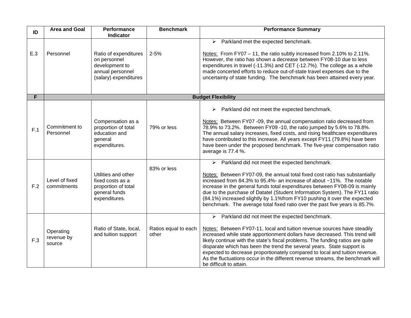| ID  | <b>Area and Goal</b>              | Performance<br>Indicator                                                                             | <b>Benchmark</b>              | <b>Performance Summary</b>                                                                                                                                                                                                                                                                                                                                                                                                                                                                                                                                                       |
|-----|-----------------------------------|------------------------------------------------------------------------------------------------------|-------------------------------|----------------------------------------------------------------------------------------------------------------------------------------------------------------------------------------------------------------------------------------------------------------------------------------------------------------------------------------------------------------------------------------------------------------------------------------------------------------------------------------------------------------------------------------------------------------------------------|
| E.3 | Personnel                         | Ratio of expenditures<br>on personnel<br>development to<br>annual personnel<br>(salary) expenditures | $2 - 5%$                      | Parkland met the expected benchmark.<br>$\blacktriangleright$<br>Notes: From FY07 - 11, the ratio subtly increased from 2.10% to 2.11%.<br>However, the ratio has shown a decrease between FY08-10 due to less<br>expenditures in travel (-11.3%) and CET (-12.7%). The college as a whole<br>made concerted efforts to reduce out-of-state travel expenses due to the<br>uncertainty of state funding. The benchmark has been attained every year.                                                                                                                              |
| F   |                                   |                                                                                                      |                               | <b>Budget Flexibility</b>                                                                                                                                                                                                                                                                                                                                                                                                                                                                                                                                                        |
| F.1 | Commitment to<br>Personnel        | Compensation as a<br>proportion of total<br>education and<br>general<br>expenditures.                | 79% or less                   | Parkland did not meet the expected benchmark.<br>$\blacktriangleright$<br>Notes: Between FY07 -09, the annual compensation ratio decreased from<br>78.9% to 73.2%. Between FY09 -10, the ratio jumped by 5.6% to 78.8%.<br>The annual salary increases, fixed costs, and rising healthcare expenditures<br>have contributed to this increase. All years except FY11 (79.8%) have been<br>have been under the proposed benchmark. The five-year compensation ratio<br>average is 77.4 %.                                                                                          |
| F.2 | Level of fixed<br>commitments     | Utilities and other<br>fixed costs as a<br>proportion of total<br>general funds<br>expenditures.     | 83% or less                   | Parkland did not meet the expected benchmark.<br>$\blacktriangleright$<br>Notes: Between FY07-09, the annual total fixed cost ratio has substantially<br>increased from 84.3% to 95.4%- an increase of about ~11%. The notable<br>increase in the general funds total expenditures between FY08-09 is mainly<br>due to the purchase of Datatel (Student Information System). The FY11 ratio<br>(84.1%) increased slightly by 1.1%from FY10 pushing it over the expected<br>benchmark. The average total fixed ratio over the past five years is 85.7%.                           |
| F.3 | Operating<br>revenue by<br>source | Ratio of State, local,<br>and tuition support                                                        | Ratios equal to each<br>other | $\triangleright$ Parkland did not meet the expected benchmark.<br>Notes: Between FY07-11, local and tuition revenue sources have steadily<br>increased while state apportionment dollars have decreased. This trend will<br>likely continue with the state's fiscal problems. The funding ratios are quite<br>disparate which has been the trend the several years. State support is<br>expected to decrease proportionately compared to local and tuition revenue.<br>As the fluctuations occur in the different revenue streams, the benchmark will<br>be difficult to attain. |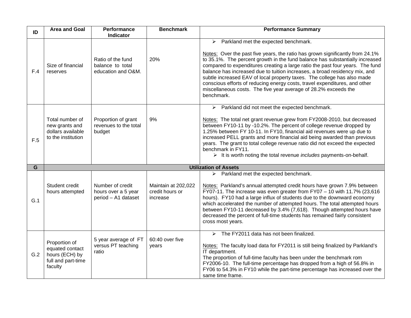| ID  | <b>Area and Goal</b>                                                                | Performance<br>Indicator                                       | <b>Benchmark</b>                                   | <b>Performance Summary</b>                                                                                                                                                                                                                                                                                                                                                                                                                                                                                                                                                                                                              |
|-----|-------------------------------------------------------------------------------------|----------------------------------------------------------------|----------------------------------------------------|-----------------------------------------------------------------------------------------------------------------------------------------------------------------------------------------------------------------------------------------------------------------------------------------------------------------------------------------------------------------------------------------------------------------------------------------------------------------------------------------------------------------------------------------------------------------------------------------------------------------------------------------|
| F.4 | Size of financial<br>reserves                                                       | Ratio of the fund<br>balance to total<br>education and O&M.    | 20%                                                | Parkland met the expected benchmark.<br>$\blacktriangleright$<br>Notes: Over the past five years, the ratio has grown significantly from 24.1%<br>to 35.1%. The percent growth in the fund balance has substantially increased<br>compared to expenditures creating a large ratio the past four years. The fund<br>balance has increased due to tuition increases, a broad residency mix, and<br>subtle increased EAV of local property taxes. The college has also made<br>conscious efforts of reducing energy costs, travel expenditures, and other<br>miscellaneous costs. The five year average of 28.2% exceeds the<br>benchmark. |
| F.5 | Total number of<br>new grants and<br>dollars available<br>to the institution        | Proportion of grant<br>revenues to the total<br>budget         | 9%                                                 | $\triangleright$ Parkland did not meet the expected benchmark.<br>Notes: The total net grant revenue grew from FY2008-2010, but decreased<br>between FY10-11 by -10.2%. The percent of college revenue dropped by<br>1.25% between FY 10-11. In FY10, financial aid revenues were up due to<br>increased PELL grants and more financial aid being awarded than previous<br>years. The grant to total college revenue ratio did not exceed the expected<br>benchmark in FY11.<br>$\triangleright$ It is worth noting the total revenue <i>includes</i> payments-on-behalf.                                                               |
| G   |                                                                                     |                                                                |                                                    | <b>Utilization of Assets</b>                                                                                                                                                                                                                                                                                                                                                                                                                                                                                                                                                                                                            |
| G.1 | Student credit<br>hours attempted                                                   | Number of credit<br>hours over a 5 year<br>period - A1 dataset | Maintain at 202,022<br>credit hours or<br>increase | Parkland met the expected benchmark.<br>$\blacktriangleright$<br>Notes: Parkland's annual attempted credit hours have grown 7.9% between<br>FY07-11. The increase was even greater from FY07 $-$ 10 with 11.7% (23,616<br>hours). FY10 had a large influx of students due to the downward economy<br>which accelerated the number of attempted hours. The total attempted hours<br>between FY10-11 decreased by 3.4% (7,618). Though attempted hours have<br>decreased the percent of full-time students has remained fairly consistent<br>cross most years.                                                                            |
| G.2 | Proportion of<br>equated contact<br>hours (ECH) by<br>full and part-time<br>faculty | 5 year average of FT<br>versus PT teaching<br>ratio            | 60:40 over five<br>years                           | The FY2011 data has not been finalized.<br>$\blacktriangleright$<br>Notes: The faculty load data for FY2011 is still being finalized by Parkland's<br>IT department.<br>The proportion of full-time faculty has been under the benchmark rom<br>FY2006-10. The full-time percentage has dropped from a high of 56.8% in<br>FY06 to 54.3% in FY10 while the part-time percentage has increased over the<br>same time frame.                                                                                                                                                                                                              |